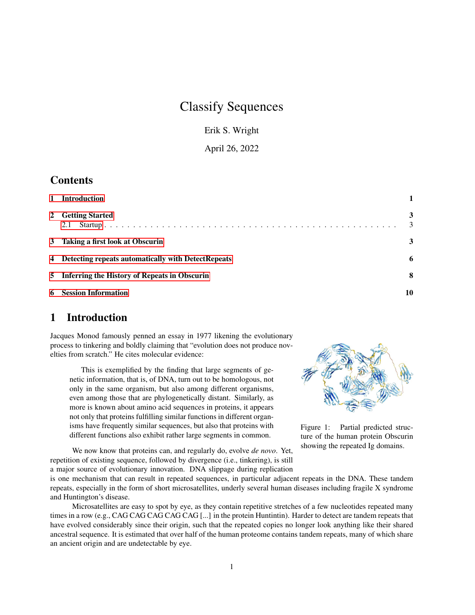# Classify Sequences

Erik S. Wright

April 26, 2022

### **Contents**

| 1 Introduction                                       |        |
|------------------------------------------------------|--------|
| 2 Getting Started<br>2.1                             | 3<br>3 |
| 3 Taking a first look at Obscurin                    | 3      |
| 4 Detecting repeats automatically with DetectRepeats | 6      |
| 5 Inferring the History of Repeats in Obscurin       | 8      |
| <b>6</b> Session Information                         | 10     |

### <span id="page-0-0"></span>1 Introduction

Jacques Monod famously penned an essay in 1977 likening the evolutionary process to tinkering and boldly claiming that "evolution does not produce novelties from scratch." He cites molecular evidence:

This is exemplified by the finding that large segments of genetic information, that is, of DNA, turn out to be homologous, not only in the same organism, but also among different organisms, even among those that are phylogenetically distant. Similarly, as more is known about amino acid sequences in proteins, it appears not only that proteins fulfilling similar functions in different organisms have frequently similar sequences, but also that proteins with different functions also exhibit rather large segments in common.

We now know that proteins can, and regularly do, evolve *de novo*. Yet, repetition of existing sequence, followed by divergence (i.e., tinkering), is still a major source of evolutionary innovation. DNA slippage during replication

<span id="page-0-1"></span>

Figure 1: Partial predicted structure of the human protein Obscurin showing the repeated Ig domains.

is one mechanism that can result in repeated sequences, in particular adjacent repeats in the DNA. These tandem repeats, especially in the form of short microsatellites, underly several human diseases including fragile X syndrome and Huntington's disease.

Microsatellites are easy to spot by eye, as they contain repetitive stretches of a few nucleotides repeated many times in a row (e.g., CAG CAG CAG CAG CAG [...] in the protein Huntintin). Harder to detect are tandem repeats that have evolved considerably since their origin, such that the repeated copies no longer look anything like their shared ancestral sequence. It is estimated that over half of the human proteome contains tandem repeats, many of which share an ancient origin and are undetectable by eye.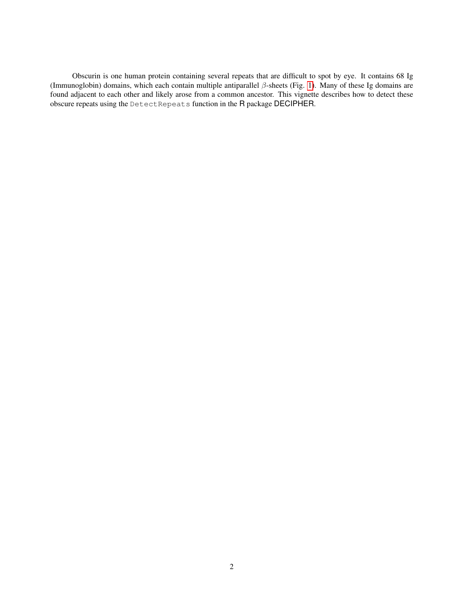Obscurin is one human protein containing several repeats that are difficult to spot by eye. It contains 68 Ig (Immunoglobin) domains, which each contain multiple antiparallel β-sheets (Fig. [1\)](#page-0-1). Many of these Ig domains are found adjacent to each other and likely arose from a common ancestor. This vignette describes how to detect these obscure repeats using the DetectRepeats function in the R package DECIPHER.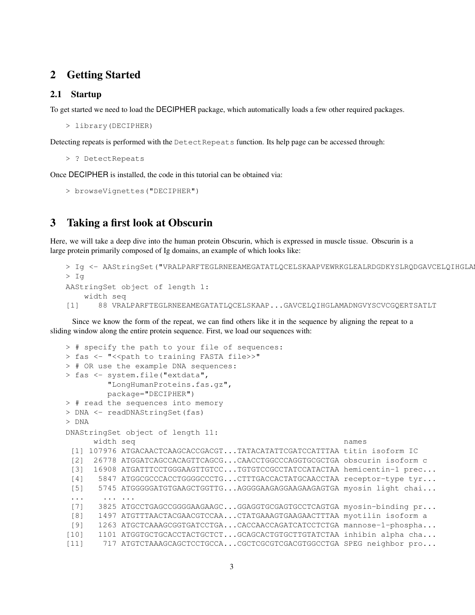### <span id="page-2-0"></span>2 Getting Started

#### <span id="page-2-1"></span>2.1 Startup

To get started we need to load the DECIPHER package, which automatically loads a few other required packages.

```
> library(DECIPHER)
```
Detecting repeats is performed with the DetectRepeats function. Its help page can be accessed through:

```
> ? DetectRepeats
```
Once DECIPHER is installed, the code in this tutorial can be obtained via:

```
> browseVignettes("DECIPHER")
```
### <span id="page-2-2"></span>3 Taking a first look at Obscurin

Here, we will take a deep dive into the human protein Obscurin, which is expressed in muscle tissue. Obscurin is a large protein primarily composed of Ig domains, an example of which looks like:

```
> Iq <- AAStringSet("VRALPARFTEGLRNEEAMEGATATLQCELSKAAPVEWRKGLEALRDGDKYSLRQDGAVCELQIHGLA
> Ig
AAStringSet object of length 1:
    width seq
[1] 88 VRALPARFTEGLRNEEAMEGATATLQCELSKAAP...GAVCELQIHGLAMADNGVYSCVCGQERTSATLT
```
Since we know the form of the repeat, we can find others like it in the sequence by aligning the repeat to a sliding window along the entire protein sequence. First, we load our sequences with:

```
> # specify the path to your file of sequences:
> fas <- "<< path to training FASTA file>>"
> # OR use the example DNA sequences:
> fas <- system.file("extdata",
        "LongHumanProteins.fas.gz",
        package="DECIPHER")
> # read the sequences into memory
> DNA <- readDNAStringSet(fas)
> DNA
DNAStringSet object of length 11:
     width seq names
 [1] 107976 ATGACAACTCAAGCACCGACGT...TATACATATTCGATCCATTTAA titin isoform IC
 [2] 26778 ATGGATCAGCCACAGTTCAGCG...CAACCTGGCCCAGGTGCGCTGA obscurin isoform c
 [3] 16908 ATGATTTCCTGGGAAGTTGTCC...TGTGTCCGCCTATCCATACTAA hemicentin-1 prec...
 [4] 5847 ATGGCGCCCACCTGGGGCCCTG...CTTTGACCACTATGCAACCTAA receptor-type tyr...
 [5] 5745 ATGGGGGATGTGAAGCTGGTTG...AGGGGAAGAGGAAGAAGAGTGA myosin light chai...
 ... ... ...
 [7] 3825 ATGCCTGAGCCGGGGAAGAAGC...GGAGGTGCGAGTGCCTCAGTGA myosin-binding pr...
 [8] 1497 ATGTTTAACTACGAACGTCCAA...CTATGAAAGTGAAGAACTTTAA myotilin isoform a
 [9] 1263 ATGCTCAAAGCGGTGATCCTGA...CACCAACCAGATCATCCTCTGA mannose-1-phospha...
[10] 1101 ATGGTGCTGCACCTACTGCTCT...GCAGCACTGTGCTTGTATCTAA inhibin alpha cha...
[11] 717 ATGTCTAAAGCAGCTCCTGCCA...CGCTCGCGTCGACGTGGCCTGA SPEG neighbor pro...
```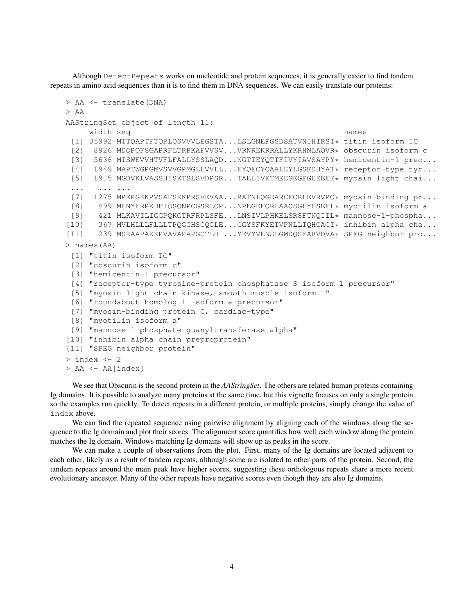Although DetectRepeats works on nucleotide and protein sequences, it is generally easier to find tandem repeats in amino acid sequences than it is to find them in DNA sequences. We can easily translate our proteins:

```
> AA <- translate(DNA)
> AA
AAStringSet object of length 11:
    width seq names
 [1] 35992 MTTQAPTFTQPLQSVVVLEGSTA...LSLGNEFGSDSATVNIHIRSI* titin isoform IC
 [2] 8926 MDQPQFSGAPRFLTRPKAFVVSV...VRNREKRRALLYKRHNLAQVR* obscurin isoform c
 [3] 5636 MISWEVVHTVFLFALLYSSLAQD...NGTIEYQTTFIVYIAVSAYPY* hemicentin-1 prec...
 [4] 1949 MAPTWGPGMVSVVGPMGLLVVLL...EYQFCYQAALEYLGSFDHYAT* receptor-type tyr...
 [5] 1915 MGDVKLVASSHISKTSLSVDPSR...TAELIVETMEEGEGEGEEEEE* myosin light chai...
 ... ... ...
 [7] 1275 MPEPGKKPVSAFSKKPRSVEVAA...RATNLQGEARCECRLEVRVPQ* myosin-binding pr...
 [8] 499 MFNYERPKHFIQSQNPCGSRLQP...NPEGEFQRLAAQSGLYESEEL* myotilin isoform a
 [9] 421 MLKAVILIGGPQKGTRFRPLSFE...LNSIVLPHKELSRSFTNQIIL* mannose-1-phospha...
[10] 367 MVLHLLLFLLLTPQGGHSCQGLE...GGYSFKYETVPNLLTQHCACI* inhibin alpha cha...
[11] 239 MSKAAPAKKPVAVAPAPGCTLDI...YEVYVENSLGMDQSFARVDVA* SPEG neighbor pro...
> names(AA)
 [1] "titin isoform IC"
 [2] "obscurin isoform c"
 [3] "hemicentin-1 precursor"
 [4] "receptor-type tyrosine-protein phosphatase S isoform 1 precursor"
 [5] "myosin light chain kinase, smooth muscle isoform 1"
 [6] "roundabout homolog 1 isoform a precursor"
 [7] "myosin-binding protein C, cardiac-type"
 [8] "myotilin isoform a"
 [9] "mannose-1-phosphate guanyltransferase alpha"
[10] "inhibin alpha chain preproprotein"
[11] "SPEG neighbor protein"
> index <-2> AA <- AA[index]
```
We see that Obscurin is the second protein in the *AAStringSet*. The others are related human proteins containing Ig domains. It is possible to analyze many proteins at the same time, but this vignette focuses on only a single protein so the examples run quickly. To detect repeats in a different protein, or multiple proteins, simply change the value of index above.

We can find the repeated sequence using pairwise alignment by aligning each of the windows along the sequence to the Ig domain and plot their scores. The alignment score quantifies how well each window along the protein matches the Ig domain. Windows matching Ig domains will show up as peaks in the score.

We can make a couple of observations from the plot. First, many of the Ig domains are located adjacent to each other, likely as a result of tandem repeats, although some are isolated to other parts of the protein. Second, the tandem repeats around the main peak have higher scores, suggesting these orthologous repeats share a more recent evolutionary ancestor. Many of the other repeats have negative scores even though they are also Ig domains.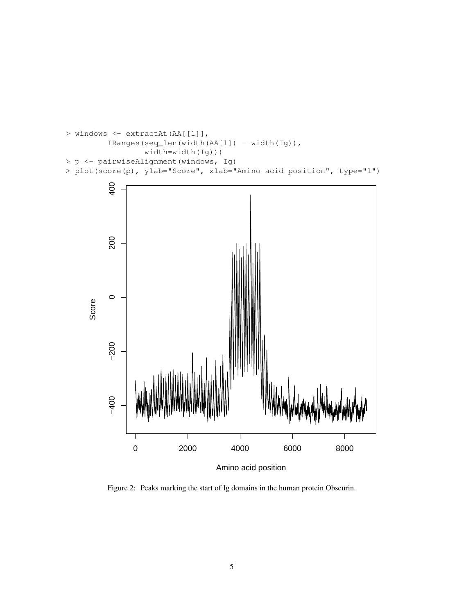

Figure 2: Peaks marking the start of Ig domains in the human protein Obscurin.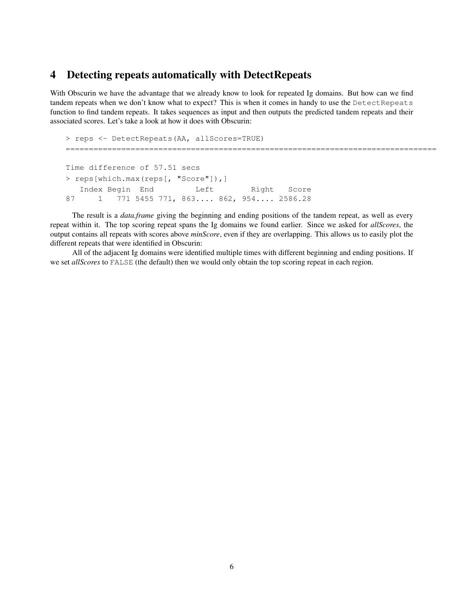## <span id="page-5-0"></span>4 Detecting repeats automatically with DetectRepeats

With Obscurin we have the advantage that we already know to look for repeated Ig domains. But how can we find tandem repeats when we don't know what to expect? This is when it comes in handy to use the DetectRepeats function to find tandem repeats. It takes sequences as input and then outputs the predicted tandem repeats and their associated scores. Let's take a look at how it does with Obscurin:

```
> reps <- DetectRepeats(AA, allScores=TRUE)
================================================================================
Time difference of 57.51 secs
> reps[which.max(reps[, "Score"]),]
  Index Begin End Left Right Score
87 1 771 5455 771, 863.... 862, 954.... 2586.28
```
The result is a *data.frame* giving the beginning and ending positions of the tandem repeat, as well as every repeat within it. The top scoring repeat spans the Ig domains we found earlier. Since we asked for *allScores*, the output contains all repeats with scores above *minScore*, even if they are overlapping. This allows us to easily plot the different repeats that were identified in Obscurin:

All of the adjacent Ig domains were identified multiple times with different beginning and ending positions. If we set *allScores* to FALSE (the default) then we would only obtain the top scoring repeat in each region.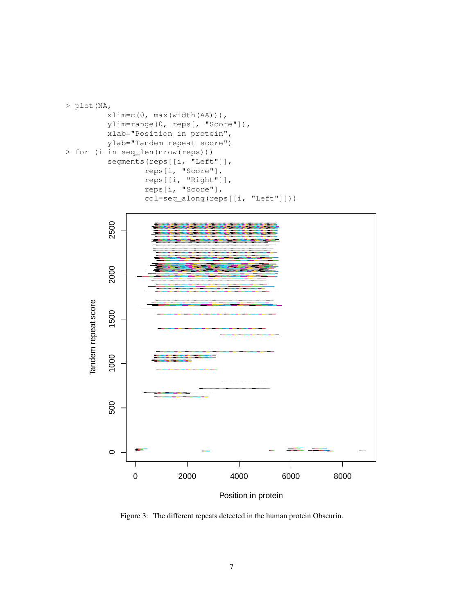



Position in protein

Figure 3: The different repeats detected in the human protein Obscurin.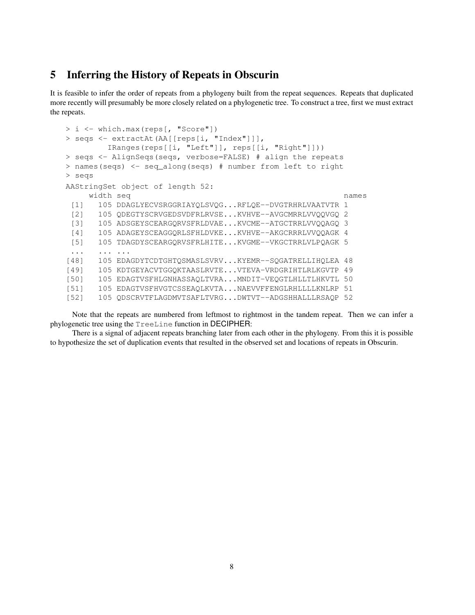### <span id="page-7-0"></span>5 Inferring the History of Repeats in Obscurin

It is feasible to infer the order of repeats from a phylogeny built from the repeat sequences. Repeats that duplicated more recently will presumably be more closely related on a phylogenetic tree. To construct a tree, first we must extract the repeats.

```
> i <- which.max(reps[, "Score"])
> seqs <- extractAt(AA[[reps[i, "Index"]]],
        IRanges(reps[[i, "Left"]], reps[[i, "Right"]]))
> seqs <- AlignSeqs(seqs, verbose=FALSE) # align the repeats
> names(seqs) <- seq_along(seqs) # number from left to right
> seqs
AAStringSet object of length 52:
    width seq names
 [1] 105 DDAGLYECVSRGGRIAYQLSVQG...RFLQE--DVGTRHRLVAATVTR 1
 [2] 105 QDEGTYSCRVGEDSVDFRLRVSE...KVHVE--AVGCMRRLVVQQVGQ 2
 [3] 105 ADSGEYSCEARGQRVSFRLDVAE...KVCME--ATGCTRRLVVQQAGQ 3
 [4] 105 ADAGEYSCEAGGQRLSFHLDVKE...KVHVE--AKGCRRRLVVQQAGK 4
 [5] 105 TDAGDYSCEARGQRVSFRLHITE...KVGME--VKGCTRRLVLPQAGK 5
 ... ... ...
[48] 105 EDAGDYTCDTGHTQSMASLSVRV...KYEMR--SQGATRELLIHQLEA 48
[49] 105 KDTGEYACVTGGQKTAASLRVTE...VTEVA-VRDGRIHTLRLKGVTP 49
[50] 105 EDAGTVSFHLGNHASSAQLTVRA...MNDIT-VEQGTLHLLTLHKVTL 50
[51] 105 EDAGTVSFHVGTCSSEAQLKVTA...NAEVVFFENGLRHLLLLKNLRP 51
[52] 105 QDSCRVTFLAGDMVTSAFLTVRG...DWTVT--ADGSHHALLLRSAQP 52
```
Note that the repeats are numbered from leftmost to rightmost in the tandem repeat. Then we can infer a phylogenetic tree using the TreeLine function in DECIPHER:

There is a signal of adjacent repeats branching later from each other in the phylogeny. From this it is possible to hypothesize the set of duplication events that resulted in the observed set and locations of repeats in Obscurin.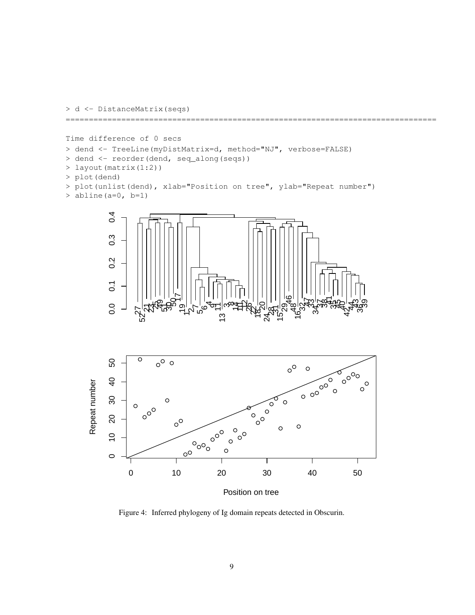

```
Time difference of 0 secs
> dend <- TreeLine(myDistMatrix=d, method="NJ", verbose=FALSE)
> dend <- reorder(dend, seq_along(seqs))
> layout(matrix(1:2))
> plot(dend)
> plot(unlist(dend), xlab="Position on tree", ylab="Repeat number")
> abline(a=0, b=1)
```
================================================================================





Position on tree

Figure 4: Inferred phylogeny of Ig domain repeats detected in Obscurin.